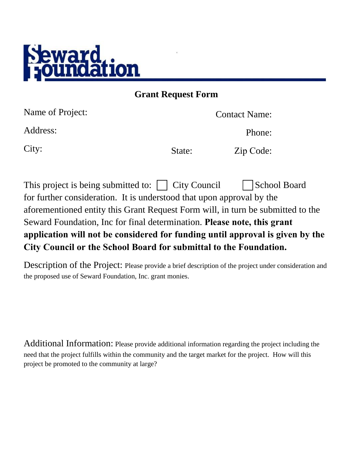

**Grant Request Form** 

| Name of Project: |        | <b>Contact Name:</b> |
|------------------|--------|----------------------|
| Address:         |        | Phone:               |
| City:            | State: | Zip Code:            |
|                  |        |                      |

This project is being submitted to:  $\vert$  City Council  $\vert$  School Board for further consideration. It is understood that upon approval by the aforementioned entity this Grant Request Form will, in turn be submitted to the Seward Foundation, Inc for final determination. **Please note, this grant application will not be considered for funding until approval is given by the City Council or the School Board for submittal to the Foundation.** 

Description of the Project: Please provide a brief description of the project under consideration and the proposed use of Seward Foundation, Inc. grant monies.

Additional Information: Please provide additional information regarding the project including the need that the project fulfills within the community and the target market for the project. How will this project be promoted to the community at large?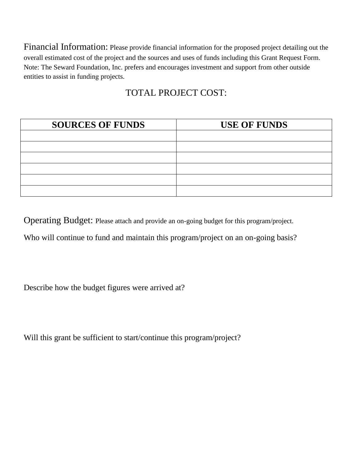Financial Information: Please provide financial information for the proposed project detailing out the overall estimated cost of the project and the sources and uses of funds including this Grant Request Form. Note: The Seward Foundation, Inc. prefers and encourages investment and support from other outside entities to assist in funding projects.

## TOTAL PROJECT COST:

| <b>SOURCES OF FUNDS</b> | <b>USE OF FUNDS</b> |  |
|-------------------------|---------------------|--|
|                         |                     |  |
|                         |                     |  |
|                         |                     |  |
|                         |                     |  |
|                         |                     |  |
|                         |                     |  |

Operating Budget: Please attach and provide an on-going budget for this program/project.

Who will continue to fund and maintain this program/project on an on-going basis?

Describe how the budget figures were arrived at?

Will this grant be sufficient to start/continue this program/project?